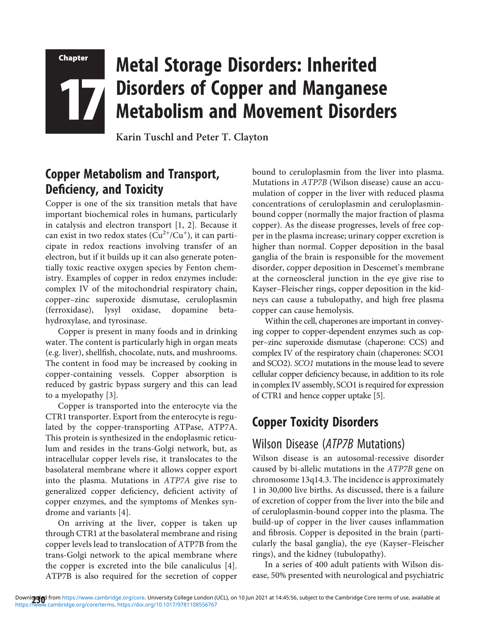# **Chapter** 17

## Metal Storage Disorders: Inherited Disorders of Copper and Manganese Metabolism and Movement Disorders

Karin Tuschl and Peter T. Clayton

## Copper Metabolism and Transport, Deficiency, and Toxicity

Copper is one of the six transition metals that have important biochemical roles in humans, particularly in catalysis and electron transport [1, 2]. Because it can exist in two redox states  $(Cu^{2+}/Cu^{+})$ , it can participate in redox reactions involving transfer of an electron, but if it builds up it can also generate potentially toxic reactive oxygen species by Fenton chemistry. Examples of copper in redox enzymes include: complex IV of the mitochondrial respiratory chain, copper–zinc superoxide dismutase, ceruloplasmin (ferroxidase), lysyl oxidase, dopamine betahydroxylase, and tyrosinase.

Copper is present in many foods and in drinking water. The content is particularly high in organ meats (e.g. liver), shellfish, chocolate, nuts, and mushrooms. The content in food may be increased by cooking in copper-containing vessels. Copper absorption is reduced by gastric bypass surgery and this can lead to a myelopathy [3].

Copper is transported into the enterocyte via the CTR1 transporter. Export from the enterocyte is regulated by the copper-transporting ATPase, ATP7A. This protein is synthesized in the endoplasmic reticulum and resides in the trans-Golgi network, but, as intracellular copper levels rise, it translocates to the basolateral membrane where it allows copper export into the plasma. Mutations in ATP7A give rise to generalized copper deficiency, deficient activity of copper enzymes, and the symptoms of Menkes syndrome and variants [4].

On arriving at the liver, copper is taken up through CTR1 at the basolateral membrane and rising copper levels lead to translocation of ATP7B from the trans-Golgi network to the apical membrane where the copper is excreted into the bile canaliculus [4]. ATP7B is also required for the secretion of copper bound to ceruloplasmin from the liver into plasma. Mutations in ATP7B (Wilson disease) cause an accumulation of copper in the liver with reduced plasma concentrations of ceruloplasmin and ceruloplasminbound copper (normally the major fraction of plasma copper). As the disease progresses, levels of free copper in the plasma increase; urinary copper excretion is higher than normal. Copper deposition in the basal ganglia of the brain is responsible for the movement disorder, copper deposition in Descemet's membrane at the corneoscleral junction in the eye give rise to Kayser–Fleischer rings, copper deposition in the kidneys can cause a tubulopathy, and high free plasma copper can cause hemolysis.

Within the cell, chaperones are important in conveying copper to copper-dependent enzymes such as copper–zinc superoxide dismutase (chaperone: CCS) and complex IV of the respiratory chain (chaperones: SCO1 and SCO2). SCO1 mutations in the mouse lead to severe cellular copper deficiency because, in addition to its role in complex IV assembly, SCO1 is required for expression of CTR1 and hence copper uptake [5].

## Copper Toxicity Disorders

## Wilson Disease (ATP7B Mutations)

Wilson disease is an autosomal-recessive disorder caused by bi-allelic mutations in the ATP7B gene on chromosome 13q14.3. The incidence is approximately 1 in 30,000 live births. As discussed, there is a failure of excretion of copper from the liver into the bile and of ceruloplasmin-bound copper into the plasma. The build-up of copper in the liver causes inflammation and fibrosis. Copper is deposited in the brain (particularly the basal ganglia), the eye (Kayser–Fleischer rings), and the kidney (tubulopathy).

In a series of 400 adult patients with Wilson disease, 50% presented with neurological and psychiatric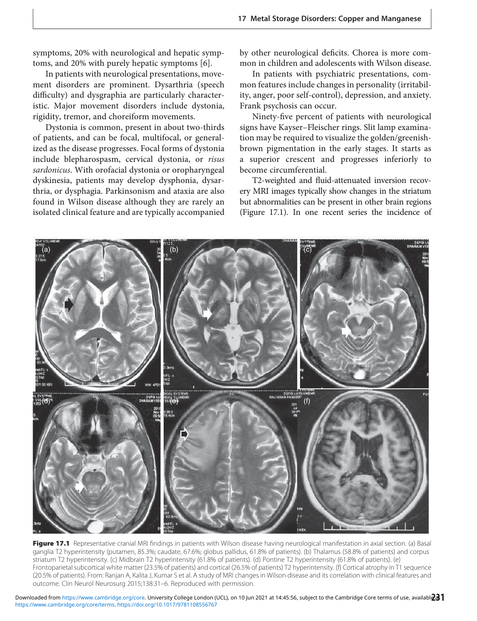symptoms, 20% with neurological and hepatic symptoms, and 20% with purely hepatic symptoms [6].

In patients with neurological presentations, movement disorders are prominent. Dysarthria (speech difficulty) and dysgraphia are particularly characteristic. Major movement disorders include dystonia, rigidity, tremor, and choreiform movements.

Dystonia is common, present in about two-thirds of patients, and can be focal, multifocal, or generalized as the disease progresses. Focal forms of dystonia include blepharospasm, cervical dystonia, or risus sardonicus. With orofacial dystonia or oropharyngeal dyskinesia, patients may develop dysphonia, dysarthria, or dysphagia. Parkinsonism and ataxia are also found in Wilson disease although they are rarely an isolated clinical feature and are typically accompanied by other neurological deficits. Chorea is more common in children and adolescents with Wilson disease.

In patients with psychiatric presentations, common features include changes in personality (irritability, anger, poor self-control), depression, and anxiety. Frank psychosis can occur.

Ninety-five percent of patients with neurological signs have Kayser–Fleischer rings. Slit lamp examination may be required to visualize the golden/greenishbrown pigmentation in the early stages. It starts as a superior crescent and progresses inferiorly to become circumferential.

T2-weighted and fluid-attenuated inversion recovery MRI images typically show changes in the striatum but abnormalities can be present in other brain regions (Figure 17.1). In one recent series the incidence of



Figure 17.1 Representative cranial MRI findings in patients with Wilson disease having neurological manifestation in axial section. (a) Basal ganglia T2 hyperintensity (putamen, 85.3%; caudate, 67.6%; globus pallidus, 61.8% of patients). (b) Thalamus (58.8% of patients) and corpus striatum T2 hyperintensity. (c) Midbrain T2 hyperintensity (61.8% of patients). (d) Pontine T2 hyperintensity (61.8% of patients). (e) Frontoparietal subcortical white matter (23.5% of patients) and cortical (26.5% of patients) T2 hyperintensity. (f) Cortical atrophy in T1 sequence (20.5% of patients). From: Ranjan A, Kalita J, Kumar S et al. A study of MRI changes in Wilson disease and its correlation with clinical features and outcome. Clin Neurol Neurosurg 2015;138:31–6. Reproduced with permission.

Downloaded from [https://www.cambridge.org/core.](https://www.cambridge.org/core) University College London (UCL), on 10 Jun 2021 at 14:45:56, subject to the Cambridge Core terms of use, availabl $231\,$ [https://www.cambridge.org/core/terms.](https://www.cambridge.org/core/terms) <https://doi.org/10.1017/9781108556767>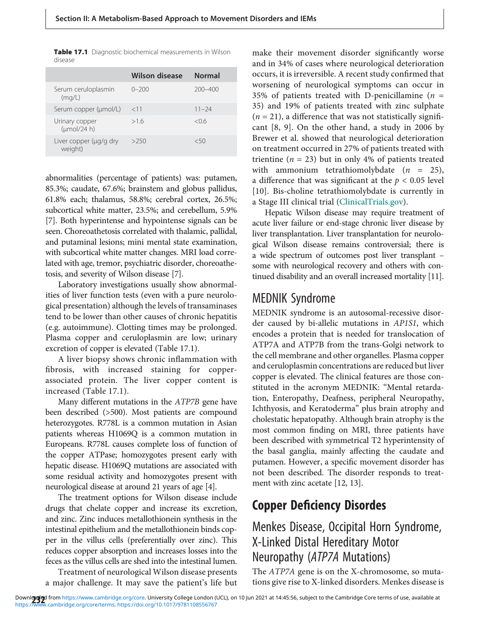Table 17.1 Diagnostic biochemical measurements in Wilson disease

|                                                   | Wilson disease | <b>Normal</b> |
|---------------------------------------------------|----------------|---------------|
| Serum ceruloplasmin<br>(mq/L)                     | $0 - 200$      | $200 - 400$   |
| Serum copper (µmol/L)                             | < 11           | $11 - 24$     |
| Urinary copper<br>$(\mu \text{mol}/24 \text{ h})$ | >16            | $<$ 0.6       |
| Liver copper (µg/g dry<br>weight)                 | >250           | $<$ 50        |

abnormalities (percentage of patients) was: putamen, 85.3%; caudate, 67.6%; brainstem and globus pallidus, 61.8% each; thalamus, 58.8%; cerebral cortex, 26.5%; subcortical white matter, 23.5%; and cerebellum, 5.9% [7]. Both hyperintense and hypointense signals can be seen. Choreoathetosis correlated with thalamic, pallidal, and putaminal lesions; mini mental state examination, with subcortical white matter changes. MRI load correlated with age, tremor, psychiatric disorder, choreoathetosis, and severity of Wilson disease [7].

Laboratory investigations usually show abnormalities of liver function tests (even with a pure neurological presentation) although the levels of transaminases tend to be lower than other causes of chronic hepatitis (e.g. autoimmune). Clotting times may be prolonged. Plasma copper and ceruloplasmin are low; urinary excretion of copper is elevated (Table 17.1).

A liver biopsy shows chronic inflammation with fibrosis, with increased staining for copperassociated protein. The liver copper content is increased (Table 17.1).

Many different mutations in the ATP7B gene have been described (>500). Most patients are compound heterozygotes. R778L is a common mutation in Asian patients whereas H1069Q is a common mutation in Europeans. R778L causes complete loss of function of the copper ATPase; homozygotes present early with hepatic disease. H1069Q mutations are associated with some residual activity and homozygotes present with neurological disease at around 21 years of age [4].

The treatment options for Wilson disease include drugs that chelate copper and increase its excretion, and zinc. Zinc induces metallothionein synthesis in the intestinal epithelium and the metallothionein binds copper in the villus cells (preferentially over zinc). This reduces copper absorption and increases losses into the feces as the villus cells are shed into the intestinal lumen.

Treatment of neurological Wilson disease presents a major challenge. It may save the patient's life but make their movement disorder significantly worse and in 34% of cases where neurological deterioration occurs, it is irreversible. A recent study confirmed that worsening of neurological symptoms can occur in 35% of patients treated with D-penicillamine ( $n =$ 35) and 19% of patients treated with zinc sulphate  $(n = 21)$ , a difference that was not statistically significant [8, 9]. On the other hand, a study in 2006 by Brewer et al. showed that neurological deterioration on treatment occurred in 27% of patients treated with trientine ( $n = 23$ ) but in only 4% of patients treated with ammonium tetrathiomolybdate  $(n = 25)$ , a difference that was significant at the  $p < 0.05$  level [10]. Bis-choline tetrathiomolybdate is currently in a Stage III clinical trial [\(ClinicalTrials.gov\)](http://ClinicalTrials.gov).

Hepatic Wilson disease may require treatment of acute liver failure or end-stage chronic liver disease by liver transplantation. Liver transplantation for neurological Wilson disease remains controversial; there is a wide spectrum of outcomes post liver transplant – some with neurological recovery and others with continued disability and an overall increased mortality [11].

#### MEDNIK Syndrome

MEDNIK syndrome is an autosomal-recessive disorder caused by bi-allelic mutations in AP1S1, which encodes a protein that is needed for translocation of ATP7A and ATP7B from the trans-Golgi network to the cell membrane and other organelles. Plasma copper and ceruloplasmin concentrations are reduced but liver copper is elevated. The clinical features are those constituted in the acronym MEDNIK: "Mental retardation, Enteropathy, Deafness, peripheral Neuropathy, Ichthyosis, and Keratoderma" plus brain atrophy and cholestatic hepatopathy. Although brain atrophy is the most common finding on MRI, three patients have been described with symmetrical T2 hyperintensity of the basal ganglia, mainly affecting the caudate and putamen. However, a specific movement disorder has not been described. The disorder responds to treatment with zinc acetate [12, 13].

## Copper Deficiency Disordes

## Menkes Disease, Occipital Horn Syndrome, X-Linked Distal Hereditary Motor Neuropathy (ATP7A Mutations)

The ATP7A gene is on the X-chromosome, so mutations give rise to X-linked disorders. Menkes disease is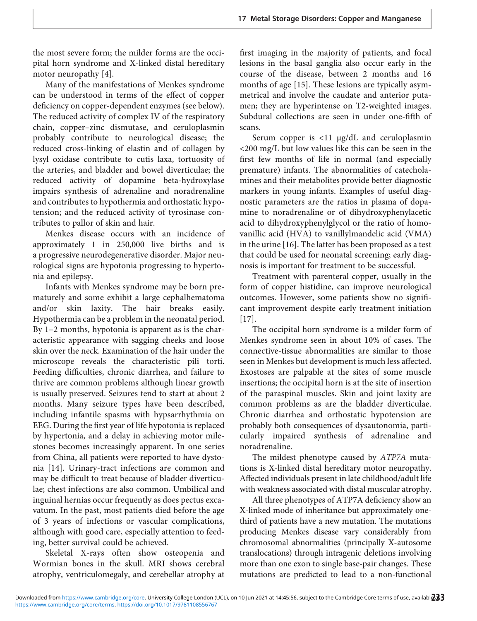the most severe form; the milder forms are the occipital horn syndrome and X-linked distal hereditary motor neuropathy [4].

Many of the manifestations of Menkes syndrome can be understood in terms of the effect of copper deficiency on copper-dependent enzymes (see below). The reduced activity of complex IV of the respiratory chain, copper–zinc dismutase, and ceruloplasmin probably contribute to neurological disease; the reduced cross-linking of elastin and of collagen by lysyl oxidase contribute to cutis laxa, tortuosity of the arteries, and bladder and bowel diverticulae; the reduced activity of dopamine beta-hydroxylase impairs synthesis of adrenaline and noradrenaline and contributes to hypothermia and orthostatic hypotension; and the reduced activity of tyrosinase contributes to pallor of skin and hair.

Menkes disease occurs with an incidence of approximately 1 in 250,000 live births and is a progressive neurodegenerative disorder. Major neurological signs are hypotonia progressing to hypertonia and epilepsy.

Infants with Menkes syndrome may be born prematurely and some exhibit a large cephalhematoma and/or skin laxity. The hair breaks easily. Hypothermia can be a problem in the neonatal period. By 1–2 months, hypotonia is apparent as is the characteristic appearance with sagging cheeks and loose skin over the neck. Examination of the hair under the microscope reveals the characteristic pili torti. Feeding difficulties, chronic diarrhea, and failure to thrive are common problems although linear growth is usually preserved. Seizures tend to start at about 2 months. Many seizure types have been described, including infantile spasms with hypsarrhythmia on EEG. During the first year of life hypotonia is replaced by hypertonia, and a delay in achieving motor milestones becomes increasingly apparent. In one series from China, all patients were reported to have dystonia [14]. Urinary-tract infections are common and may be difficult to treat because of bladder diverticulae; chest infections are also common. Umbilical and inguinal hernias occur frequently as does pectus excavatum. In the past, most patients died before the age of 3 years of infections or vascular complications, although with good care, especially attention to feeding, better survival could be achieved.

Skeletal X-rays often show osteopenia and Wormian bones in the skull. MRI shows cerebral atrophy, ventriculomegaly, and cerebellar atrophy at first imaging in the majority of patients, and focal lesions in the basal ganglia also occur early in the course of the disease, between 2 months and 16 months of age [15]. These lesions are typically asymmetrical and involve the caudate and anterior putamen; they are hyperintense on T2-weighted images. Subdural collections are seen in under one-fifth of scans.

Serum copper is <11 μg/dL and ceruloplasmin <200 mg/L but low values like this can be seen in the first few months of life in normal (and especially premature) infants. The abnormalities of catecholamines and their metabolites provide better diagnostic markers in young infants. Examples of useful diagnostic parameters are the ratios in plasma of dopamine to noradrenaline or of dihydroxyphenylacetic acid to dihydroxyphenylglycol or the ratio of homovanillic acid (HVA) to vanillylmandelic acid (VMA) in the urine [16]. The latter has been proposed as a test that could be used for neonatal screening; early diagnosis is important for treatment to be successful.

Treatment with parenteral copper, usually in the form of copper histidine, can improve neurological outcomes. However, some patients show no significant improvement despite early treatment initiation  $[17]$ .

The occipital horn syndrome is a milder form of Menkes syndrome seen in about 10% of cases. The connective-tissue abnormalities are similar to those seen in Menkes but development is much less affected. Exostoses are palpable at the sites of some muscle insertions; the occipital horn is at the site of insertion of the paraspinal muscles. Skin and joint laxity are common problems as are the bladder diverticulae. Chronic diarrhea and orthostatic hypotension are probably both consequences of dysautonomia, particularly impaired synthesis of adrenaline and noradrenaline.

The mildest phenotype caused by ATP7A mutations is X-linked distal hereditary motor neuropathy. Affected individuals present in late childhood/adult life with weakness associated with distal muscular atrophy.

All three phenotypes of ATP7A deficiency show an X-linked mode of inheritance but approximately onethird of patients have a new mutation. The mutations producing Menkes disease vary considerably from chromosomal abnormalities (principally X-autosome translocations) through intragenic deletions involving more than one exon to single base-pair changes. These mutations are predicted to lead to a non-functional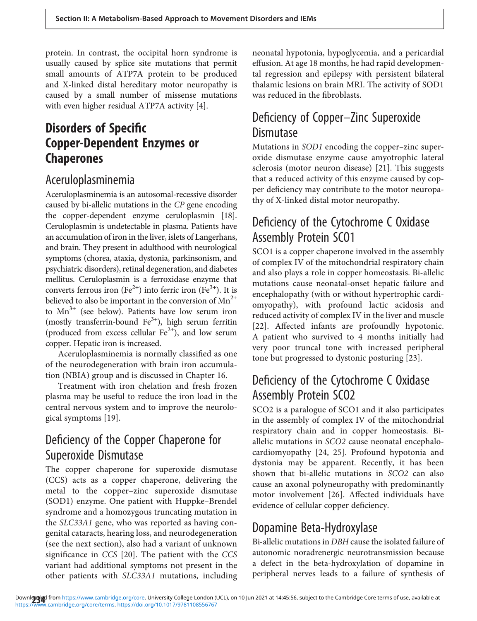protein. In contrast, the occipital horn syndrome is usually caused by splice site mutations that permit small amounts of ATP7A protein to be produced and X-linked distal hereditary motor neuropathy is caused by a small number of missense mutations with even higher residual ATP7A activity [4].

## Disorders of Specific Copper-Dependent Enzymes or Chaperones

#### Aceruloplasminemia

Aceruloplasminemia is an autosomal-recessive disorder caused by bi-allelic mutations in the CP gene encoding the copper-dependent enzyme ceruloplasmin [18]. Ceruloplasmin is undetectable in plasma. Patients have an accumulation of iron in the liver, islets of Langerhans, and brain. They present in adulthood with neurological symptoms (chorea, ataxia, dystonia, parkinsonism, and psychiatric disorders), retinal degeneration, and diabetes mellitus. Ceruloplasmin is a ferroxidase enzyme that converts ferrous iron  $(Fe^{2+})$  into ferric iron  $(Fe^{3+})$ . It is believed to also be important in the conversion of  $Mn^{2+}$ to  $Mn^{3+}$  (see below). Patients have low serum iron (mostly transferrin-bound  $Fe<sup>3+</sup>$ ), high serum ferritin (produced from excess cellular  $Fe^{2+}$ ), and low serum copper. Hepatic iron is increased.

Aceruloplasminemia is normally classified as one of the neurodegeneration with brain iron accumulation (NBIA) group and is discussed in Chapter 16.

Treatment with iron chelation and fresh frozen plasma may be useful to reduce the iron load in the central nervous system and to improve the neurological symptoms [19].

## Deficiency of the Copper Chaperone for Superoxide Dismutase

The copper chaperone for superoxide dismutase (CCS) acts as a copper chaperone, delivering the metal to the copper–zinc superoxide dismutase (SOD1) enzyme. One patient with Huppke–Brendel syndrome and a homozygous truncating mutation in the SLC33A1 gene, who was reported as having congenital cataracts, hearing loss, and neurodegeneration (see the next section), also had a variant of unknown significance in CCS [20]. The patient with the CCS variant had additional symptoms not present in the other patients with SLC33A1 mutations, including neonatal hypotonia, hypoglycemia, and a pericardial effusion. At age 18 months, he had rapid developmental regression and epilepsy with persistent bilateral thalamic lesions on brain MRI. The activity of SOD1 was reduced in the fibroblasts.

## Deficiency of Copper–Zinc Superoxide Dismutase

Mutations in SOD1 encoding the copper–zinc superoxide dismutase enzyme cause amyotrophic lateral sclerosis (motor neuron disease) [21]. This suggests that a reduced activity of this enzyme caused by copper deficiency may contribute to the motor neuropathy of X-linked distal motor neuropathy.

## Deficiency of the Cytochrome C Oxidase Assembly Protein SCO1

SCO1 is a copper chaperone involved in the assembly of complex IV of the mitochondrial respiratory chain and also plays a role in copper homeostasis. Bi-allelic mutations cause neonatal-onset hepatic failure and encephalopathy (with or without hypertrophic cardiomyopathy), with profound lactic acidosis and reduced activity of complex IV in the liver and muscle [22]. Affected infants are profoundly hypotonic. A patient who survived to 4 months initially had very poor truncal tone with increased peripheral tone but progressed to dystonic posturing [23].

## Deficiency of the Cytochrome C Oxidase Assembly Protein SCO2

SCO2 is a paralogue of SCO1 and it also participates in the assembly of complex IV of the mitochondrial respiratory chain and in copper homeostasis. Biallelic mutations in SCO2 cause neonatal encephalocardiomyopathy [24, 25]. Profound hypotonia and dystonia may be apparent. Recently, it has been shown that bi-allelic mutations in SCO2 can also cause an axonal polyneuropathy with predominantly motor involvement [26]. Affected individuals have evidence of cellular copper deficiency.

## Dopamine Beta-Hydroxylase

Bi-allelic mutations in DBH cause the isolated failure of autonomic noradrenergic neurotransmission because a defect in the beta-hydroxylation of dopamine in peripheral nerves leads to a failure of synthesis of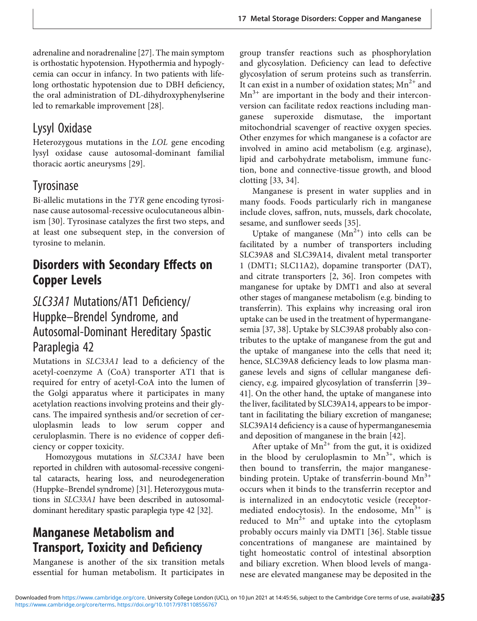adrenaline and noradrenaline [27]. The main symptom is orthostatic hypotension. Hypothermia and hypoglycemia can occur in infancy. In two patients with lifelong orthostatic hypotension due to DBH deficiency, the oral administration of DL-dihydroxyphenylserine led to remarkable improvement [28].

## Lysyl Oxidase

Heterozygous mutations in the LOL gene encoding lysyl oxidase cause autosomal-dominant familial thoracic aortic aneurysms [29].

## Tyrosinase

Bi-allelic mutations in the TYR gene encoding tyrosinase cause autosomal-recessive oculocutaneous albinism [30]. Tyrosinase catalyzes the first two steps, and at least one subsequent step, in the conversion of tyrosine to melanin.

## Disorders with Secondary Effects on Copper Levels

## SLC33A1 Mutations/AT1 Deficiency/ Huppke–Brendel Syndrome, and Autosomal-Dominant Hereditary Spastic Paraplegia 42

Mutations in SLC33A1 lead to a deficiency of the acetyl-coenzyme A (CoA) transporter AT1 that is required for entry of acetyl-CoA into the lumen of the Golgi apparatus where it participates in many acetylation reactions involving proteins and their glycans. The impaired synthesis and/or secretion of ceruloplasmin leads to low serum copper and ceruloplasmin. There is no evidence of copper deficiency or copper toxicity.

Homozygous mutations in SLC33A1 have been reported in children with autosomal-recessive congenital cataracts, hearing loss, and neurodegeneration (Huppke–Brendel syndrome) [31]. Heterozygous mutations in SLC33A1 have been described in autosomaldominant hereditary spastic paraplegia type 42 [32].

## Manganese Metabolism and Transport, Toxicity and Deficiency

Manganese is another of the six transition metals essential for human metabolism. It participates in

group transfer reactions such as phosphorylation and glycosylation. Deficiency can lead to defective glycosylation of serum proteins such as transferrin. It can exist in a number of oxidation states;  $Mn^{2+}$  and  $Mn^{3+}$  are important in the body and their interconversion can facilitate redox reactions including manganese superoxide dismutase, the important mitochondrial scavenger of reactive oxygen species. Other enzymes for which manganese is a cofactor are involved in amino acid metabolism (e.g. arginase), lipid and carbohydrate metabolism, immune function, bone and connective-tissue growth, and blood clotting [33, 34].

Manganese is present in water supplies and in many foods. Foods particularly rich in manganese include cloves, saffron, nuts, mussels, dark chocolate, sesame, and sunflower seeds [35].

Uptake of manganese  $(Mn^{2+})$  into cells can be facilitated by a number of transporters including SLC39A8 and SLC39A14, divalent metal transporter 1 (DMT1; SLC11A2), dopamine transporter (DAT), and citrate transporters [2, 36]. Iron competes with manganese for uptake by DMT1 and also at several other stages of manganese metabolism (e.g. binding to transferrin). This explains why increasing oral iron uptake can be used in the treatment of hypermanganesemia [37, 38]. Uptake by SLC39A8 probably also contributes to the uptake of manganese from the gut and the uptake of manganese into the cells that need it; hence, SLC39A8 deficiency leads to low plasma manganese levels and signs of cellular manganese deficiency, e.g. impaired glycosylation of transferrin [39– 41]. On the other hand, the uptake of manganese into the liver, facilitated by SLC39A14, appears to be important in facilitating the biliary excretion of manganese; SLC39A14 deficiency is a cause of hypermanganesemia and deposition of manganese in the brain [42].

After uptake of  $Mn^{2+}$  from the gut, it is oxidized in the blood by ceruloplasmin to  $Mn^{3+}$ , which is then bound to transferrin, the major manganesebinding protein. Uptake of transferrin-bound  $Mn^{3+}$ occurs when it binds to the transferrin receptor and is internalized in an endocytotic vesicle (receptormediated endocytosis). In the endosome,  $Mn^{3+}$  is reduced to  $Mn^{2+}$  and uptake into the cytoplasm probably occurs mainly via DMT1 [36]. Stable tissue concentrations of manganese are maintained by tight homeostatic control of intestinal absorption and biliary excretion. When blood levels of manganese are elevated manganese may be deposited in the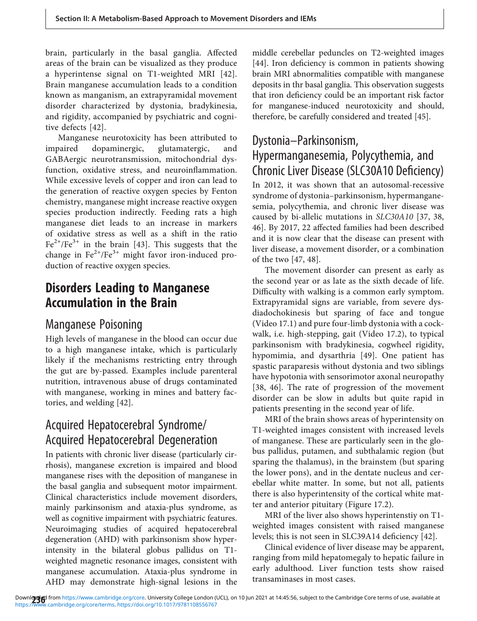brain, particularly in the basal ganglia. Affected areas of the brain can be visualized as they produce a hyperintense signal on T1-weighted MRI [42]. Brain manganese accumulation leads to a condition known as manganism, an extrapyramidal movement disorder characterized by dystonia, bradykinesia, and rigidity, accompanied by psychiatric and cognitive defects [42].

Manganese neurotoxicity has been attributed to impaired dopaminergic, glutamatergic, and GABAergic neurotransmission, mitochondrial dysfunction, oxidative stress, and neuroinflammation. While excessive levels of copper and iron can lead to the generation of reactive oxygen species by Fenton chemistry, manganese might increase reactive oxygen species production indirectly. Feeding rats a high manganese diet leads to an increase in markers of oxidative stress as well as a shift in the ratio  $Fe^{2+}/Fe^{3+}$  in the brain [43]. This suggests that the change in  $Fe^{2+}/Fe^{3+}$  might favor iron-induced production of reactive oxygen species.

## Disorders Leading to Manganese Accumulation in the Brain

#### Manganese Poisoning

High levels of manganese in the blood can occur due to a high manganese intake, which is particularly likely if the mechanisms restricting entry through the gut are by-passed. Examples include parenteral nutrition, intravenous abuse of drugs contaminated with manganese, working in mines and battery factories, and welding [42].

## Acquired Hepatocerebral Syndrome/ Acquired Hepatocerebral Degeneration

In patients with chronic liver disease (particularly cirrhosis), manganese excretion is impaired and blood manganese rises with the deposition of manganese in the basal ganglia and subsequent motor impairment. Clinical characteristics include movement disorders, mainly parkinsonism and ataxia-plus syndrome, as well as cognitive impairment with psychiatric features. Neuroimaging studies of acquired hepatocerebral degeneration (AHD) with parkinsonism show hyperintensity in the bilateral globus pallidus on T1 weighted magnetic resonance images, consistent with manganese accumulation. Ataxia-plus syndrome in AHD may demonstrate high-signal lesions in the

middle cerebellar peduncles on T2-weighted images [44]. Iron deficiency is common in patients showing brain MRI abnormalities compatible with manganese deposits in thr basal ganglia. This observation suggests that iron deficiency could be an important risk factor for manganese-induced neurotoxicity and should, therefore, be carefully considered and treated [45].

## Dystonia–Parkinsonism, Hypermanganesemia, Polycythemia, and Chronic Liver Disease (SLC30A10 Deficiency)

In 2012, it was shown that an autosomal-recessive syndrome of dystonia–parkinsonism, hypermanganesemia, polycythemia, and chronic liver disease was caused by bi-allelic mutations in SLC30A10 [37, 38, 46]. By 2017, 22 affected families had been described and it is now clear that the disease can present with liver disease, a movement disorder, or a combination of the two [47, 48].

The movement disorder can present as early as the second year or as late as the sixth decade of life. Difficulty with walking is a common early symptom. Extrapyramidal signs are variable, from severe dysdiadochokinesis but sparing of face and tongue (Video 17.1) and pure four-limb dystonia with a cockwalk, i.e. high-stepping, gait (Video 17.2), to typical parkinsonism with bradykinesia, cogwheel rigidity, hypomimia, and dysarthria [49]. One patient has spastic paraparesis without dystonia and two siblings have hypotonia with sensorimotor axonal neuropathy [38, 46]. The rate of progression of the movement disorder can be slow in adults but quite rapid in patients presenting in the second year of life.

MRI of the brain shows areas of hyperintensity on T1-weighted images consistent with increased levels of manganese. These are particularly seen in the globus pallidus, putamen, and subthalamic region (but sparing the thalamus), in the brainstem (but sparing the lower pons), and in the dentate nucleus and cerebellar white matter. In some, but not all, patients there is also hyperintensity of the cortical white matter and anterior pituitary (Figure 17.2).

MRI of the liver also shows hyperintenstiy on T1 weighted images consistent with raised manganese levels; this is not seen in SLC39A14 deficiency [42].

Clinical evidence of liver disease may be apparent, ranging from mild hepatomegaly to hepatic failure in early adulthood. Liver function tests show raised transaminases in most cases.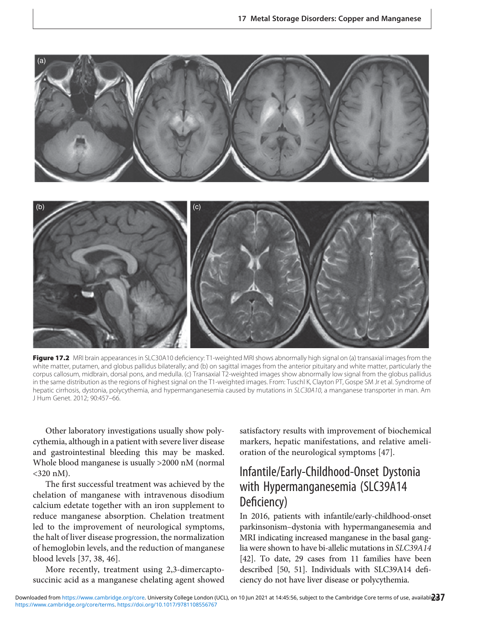

Figure 17.2 MRI brain appearances in SLC30A10 deficiency: T1-weighted MRI shows abnormally high signal on (a) transaxial images from the white matter, putamen, and globus pallidus bilaterally; and (b) on sagittal images from the anterior pituitary and white matter, particularly the corpus callosum, midbrain, dorsal pons, and medulla. (c) Transaxial T2-weighted images show abnormally low signal from the globus pallidus in the same distribution as the regions of highest signal on the T1-weighted images. From: Tuschl K, Clayton PT, Gospe SM Jr et al. Syndrome of hepatic cirrhosis, dystonia, polycythemia, and hypermanganesemia caused by mutations in SLC30A10, a manganese transporter in man. Am J Hum Genet. 2012; 90:457–66.

Other laboratory investigations usually show polycythemia, although in a patient with severe liver disease and gastrointestinal bleeding this may be masked. Whole blood manganese is usually >2000 nM (normal  $<$ 320 nM).

The first successful treatment was achieved by the chelation of manganese with intravenous disodium calcium edetate together with an iron supplement to reduce manganese absorption. Chelation treatment led to the improvement of neurological symptoms, the halt of liver disease progression, the normalization of hemoglobin levels, and the reduction of manganese blood levels [37, 38, 46].

More recently, treatment using 2,3-dimercaptosuccinic acid as a manganese chelating agent showed satisfactory results with improvement of biochemical markers, hepatic manifestations, and relative amelioration of the neurological symptoms [47].

## Infantile/Early-Childhood-Onset Dystonia with Hypermanganesemia (SLC39A14 Deficiency)

In 2016, patients with infantile/early-childhood-onset parkinsonism–dystonia with hypermanganesemia and MRI indicating increased manganese in the basal ganglia were shown to have bi-allelic mutations in SLC39A14 [42]. To date, 29 cases from 11 families have been described [50, 51]. Individuals with SLC39A14 deficiency do not have liver disease or polycythemia.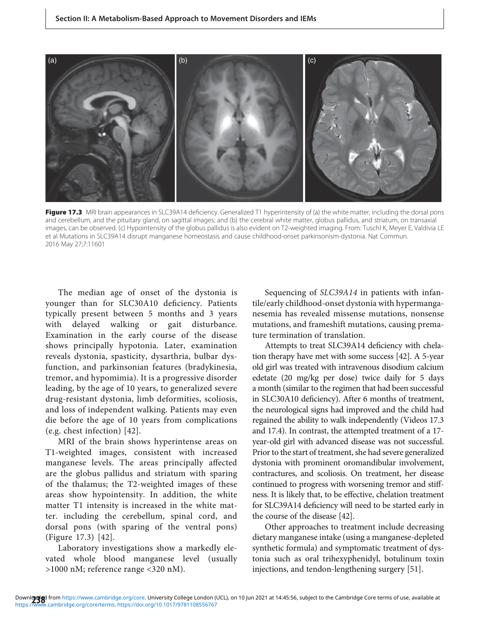

Figure 17.3 MRI brain appearances in SLC39A14 deficiency. Generalized T1 hyperintensity of (a) the white matter, including the dorsal pons and cerebellum, and the pituitary gland, on sagittal images; and (b) the cerebral white matter, globus pallidus, and striatum, on transaxial images, can be observed. (c) Hypointensity of the globus pallidus is also evident on T2-weighted imaging. From: Tuschl K, Meyer E, Valdivia LE et al Mutations in SLC39A14 disrupt manganese homeostasis and cause childhood-onset parkinsonism-dystonia. Nat Commun. 2016 May 27;7:11601

The median age of onset of the dystonia is younger than for SLC30A10 deficiency. Patients typically present between 5 months and 3 years with delayed walking or gait disturbance. Examination in the early course of the disease shows principally hypotonia. Later, examination reveals dystonia, spasticity, dysarthria, bulbar dysfunction, and parkinsonian features (bradykinesia, tremor, and hypomimia). It is a progressive disorder leading, by the age of 10 years, to generalized severe drug-resistant dystonia, limb deformities, scoliosis, and loss of independent walking. Patients may even die before the age of 10 years from complications (e.g. chest infection) [42].

MRI of the brain shows hyperintense areas on T1-weighted images, consistent with increased manganese levels. The areas principally affected are the globus pallidus and striatum with sparing of the thalamus; the T2-weighted images of these areas show hypointensity. In addition, the white matter T1 intensity is increased in the white matter. including the cerebellum, spinal cord, and dorsal pons (with sparing of the ventral pons) (Figure 17.3) [42].

Laboratory investigations show a markedly elevated whole blood manganese level (usually >1000 nM; reference range <320 nM).

Sequencing of SLC39A14 in patients with infantile/early childhood-onset dystonia with hypermanganesemia has revealed missense mutations, nonsense mutations, and frameshift mutations, causing premature termination of translation.

Attempts to treat SLC39A14 deficiency with chelation therapy have met with some success [42]. A 5-year old girl was treated with intravenous disodium calcium edetate (20 mg/kg per dose) twice daily for 5 days a month (similar to the regimen that had been successful in SLC30A10 deficiency). After 6 months of treatment, the neurological signs had improved and the child had regained the ability to walk independently (Videos 17.3 and 17.4). In contrast, the attempted treatment of a 17 year-old girl with advanced disease was not successful. Prior to the start of treatment, she had severe generalized dystonia with prominent oromandibular involvement, contractures, and scoliosis. On treatment, her disease continued to progress with worsening tremor and stiffness. It is likely that, to be effective, chelation treatment for SLC39A14 deficiency will need to be started early in the course of the disease [42].

Other approaches to treatment include decreasing dietary manganese intake (using a manganese-depleted synthetic formula) and symptomatic treatment of dystonia such as oral trihexyphenidyl, botulinum toxin injections, and tendon-lengthening surgery [51].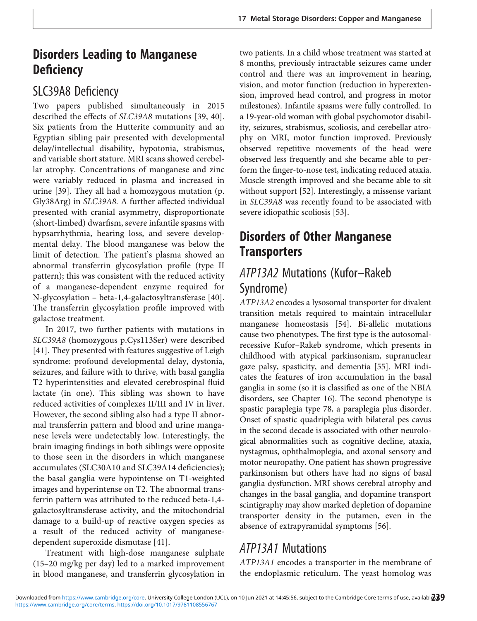## Disorders Leading to Manganese **Deficiency**

## SLC39A8 Deficiency

Two papers published simultaneously in 2015 described the effects of SLC39A8 mutations [39, 40]. Six patients from the Hutterite community and an Egyptian sibling pair presented with developmental delay/intellectual disability, hypotonia, strabismus, and variable short stature. MRI scans showed cerebellar atrophy. Concentrations of manganese and zinc were variably reduced in plasma and increased in urine [39]. They all had a homozygous mutation (p. Gly38Arg) in SLC39A8. A further affected individual presented with cranial asymmetry, disproportionate (short-limbed) dwarfism, severe infantile spasms with hypsarrhythmia, hearing loss, and severe developmental delay. The blood manganese was below the limit of detection. The patient's plasma showed an abnormal transferrin glycosylation profile (type II pattern); this was consistent with the reduced activity of a manganese-dependent enzyme required for N-glycosylation – beta-1,4-galactosyltransferase [40]. The transferrin glycosylation profile improved with galactose treatment.

In 2017, two further patients with mutations in SLC39A8 (homozygous p.Cys113Ser) were described [41]. They presented with features suggestive of Leigh syndrome: profound developmental delay, dystonia, seizures, and failure with to thrive, with basal ganglia T2 hyperintensities and elevated cerebrospinal fluid lactate (in one). This sibling was shown to have reduced activities of complexes II/III and IV in liver. However, the second sibling also had a type II abnormal transferrin pattern and blood and urine manganese levels were undetectably low. Interestingly, the brain imaging findings in both siblings were opposite to those seen in the disorders in which manganese accumulates (SLC30A10 and SLC39A14 deficiencies); the basal ganglia were hypointense on T1-weighted images and hyperintense on T2. The abnormal transferrin pattern was attributed to the reduced beta-1,4 galactosyltransferase activity, and the mitochondrial damage to a build-up of reactive oxygen species as a result of the reduced activity of manganesedependent superoxide dismutase [41].

Treatment with high-dose manganese sulphate (15–20 mg/kg per day) led to a marked improvement in blood manganese, and transferrin glycosylation in

two patients. In a child whose treatment was started at 8 months, previously intractable seizures came under control and there was an improvement in hearing, vision, and motor function (reduction in hyperextension, improved head control, and progress in motor milestones). Infantile spasms were fully controlled. In a 19-year-old woman with global psychomotor disability, seizures, strabismus, scoliosis, and cerebellar atrophy on MRI, motor function improved. Previously observed repetitive movements of the head were observed less frequently and she became able to perform the finger-to-nose test, indicating reduced ataxia. Muscle strength improved and she became able to sit without support [52]. Interestingly, a missense variant in SLC39A8 was recently found to be associated with severe idiopathic scoliosis [53].

## Disorders of Other Manganese **Transporters**

## ATP13A2 Mutations (Kufor–Rakeb Syndrome)

ATP13A2 encodes a lysosomal transporter for divalent transition metals required to maintain intracellular manganese homeostasis [54]. Bi-allelic mutations cause two phenotypes. The first type is the autosomalrecessive Kufor–Rakeb syndrome, which presents in childhood with atypical parkinsonism, supranuclear gaze palsy, spasticity, and dementia [55]. MRI indicates the features of iron accumulation in the basal ganglia in some (so it is classified as one of the NBIA disorders, see Chapter 16). The second phenotype is spastic paraplegia type 78, a paraplegia plus disorder. Onset of spastic quadriplegia with bilateral pes cavus in the second decade is associated with other neurological abnormalities such as cognitive decline, ataxia, nystagmus, ophthalmoplegia, and axonal sensory and motor neuropathy. One patient has shown progressive parkinsonism but others have had no signs of basal ganglia dysfunction. MRI shows cerebral atrophy and changes in the basal ganglia, and dopamine transport scintigraphy may show marked depletion of dopamine transporter density in the putamen, even in the absence of extrapyramidal symptoms [56].

## ATP13A1 Mutations

ATP13A1 encodes a transporter in the membrane of the endoplasmic reticulum. The yeast homolog was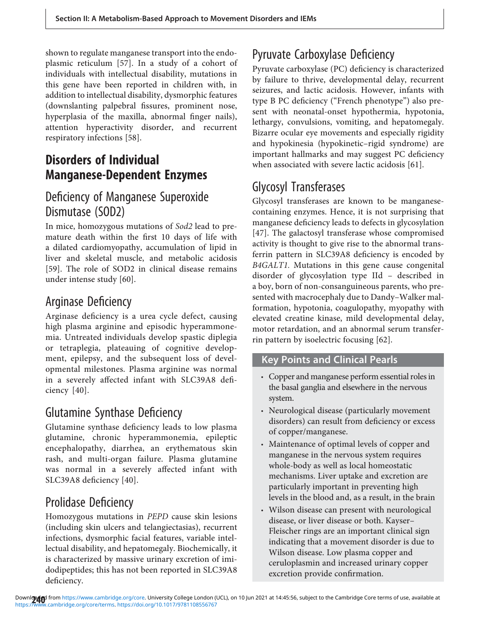shown to regulate manganese transport into the endoplasmic reticulum [57]. In a study of a cohort of individuals with intellectual disability, mutations in this gene have been reported in children with, in addition to intellectual disability, dysmorphic features (downslanting palpebral fissures, prominent nose, hyperplasia of the maxilla, abnormal finger nails), attention hyperactivity disorder, and recurrent respiratory infections [58].

## Disorders of Individual Manganese-Dependent Enzymes

## Deficiency of Manganese Superoxide Dismutase (SOD2)

In mice, homozygous mutations of Sod2 lead to premature death within the first 10 days of life with a dilated cardiomyopathy, accumulation of lipid in liver and skeletal muscle, and metabolic acidosis [59]. The role of SOD2 in clinical disease remains under intense study [60].

## Arginase Deficiency

Arginase deficiency is a urea cycle defect, causing high plasma arginine and episodic hyperammonemia. Untreated individuals develop spastic diplegia or tetraplegia, plateauing of cognitive development, epilepsy, and the subsequent loss of developmental milestones. Plasma arginine was normal in a severely affected infant with SLC39A8 deficiency [40].

## Glutamine Synthase Deficiency

Glutamine synthase deficiency leads to low plasma glutamine, chronic hyperammonemia, epileptic encephalopathy, diarrhea, an erythematous skin rash, and multi-organ failure. Plasma glutamine was normal in a severely affected infant with SLC39A8 deficiency [40].

## Prolidase Deficiency

Homozygous mutations in PEPD cause skin lesions (including skin ulcers and telangiectasias), recurrent infections, dysmorphic facial features, variable intellectual disability, and hepatomegaly. Biochemically, it is characterized by massive urinary excretion of imidodipeptides; this has not been reported in SLC39A8 deficiency.

## Pyruvate Carboxylase Deficiency

Pyruvate carboxylase (PC) deficiency is characterized by failure to thrive, developmental delay, recurrent seizures, and lactic acidosis. However, infants with type B PC deficiency ("French phenotype") also present with neonatal-onset hypothermia, hypotonia, lethargy, convulsions, vomiting, and hepatomegaly. Bizarre ocular eye movements and especially rigidity and hypokinesia (hypokinetic–rigid syndrome) are important hallmarks and may suggest PC deficiency when associated with severe lactic acidosis [61].

## Glycosyl Transferases

Glycosyl transferases are known to be manganesecontaining enzymes. Hence, it is not surprising that manganese deficiency leads to defects in glycosylation [47]. The galactosyl transferase whose compromised activity is thought to give rise to the abnormal transferrin pattern in SLC39A8 deficiency is encoded by B4GALT1. Mutations in this gene cause congenital disorder of glycosylation type IId – described in a boy, born of non-consanguineous parents, who presented with macrocephaly due to Dandy–Walker malformation, hypotonia, coagulopathy, myopathy with elevated creatine kinase, mild developmental delay, motor retardation, and an abnormal serum transferrin pattern by isoelectric focusing [62].

#### Key Points and Clinical Pearls

- Copper and manganese perform essential roles in the basal ganglia and elsewhere in the nervous system.
- Neurological disease (particularly movement disorders) can result from deficiency or excess of copper/manganese.
- Maintenance of optimal levels of copper and manganese in the nervous system requires whole-body as well as local homeostatic mechanisms. Liver uptake and excretion are particularly important in preventing high levels in the blood and, as a result, in the brain
- Wilson disease can present with neurological disease, or liver disease or both. Kayser– Fleischer rings are an important clinical sign indicating that a movement disorder is due to Wilson disease. Low plasma copper and ceruloplasmin and increased urinary copper excretion provide confirmation.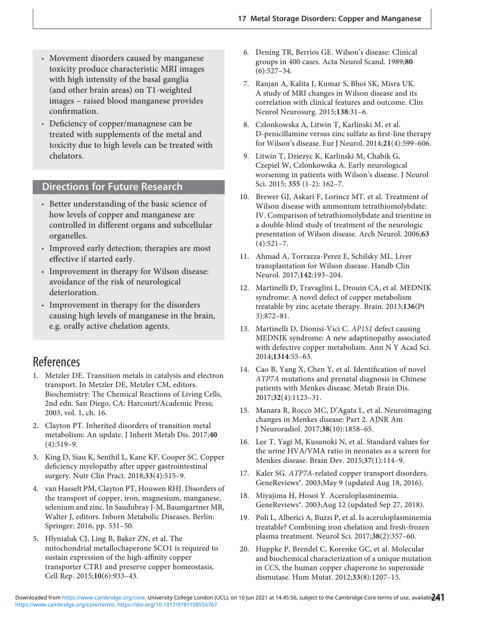- Movement disorders caused by manganese toxicity produce characteristic MRI images with high intensity of the basal ganglia (and other brain areas) on T1-weighted images – raised blood manganese provides confirmation.
- Deficiency of copper/managnese can be treated with supplements of the metal and toxicity due to high levels can be treated with chelators.

#### Directions for Future Research

- Better understanding of the basic science of how levels of copper and manganese are controlled in different organs and subcellular organelles.
- Improved early detection; therapies are most effective if started early.
- Improvement in therapy for Wilson disease: avoidance of the risk of neurological deterioration.
- Improvement in therapy for the disorders causing high levels of manganese in the brain, e.g. orally active chelation agents.

#### References

- 1. Metzler DE. Transition metals in catalysis and electron transport. In Metzler DE, Metzler CM, editors. Biochemistry: The Chemical Reactions of Living Cells, 2nd edn. San Diego, CA: Harcourt/Academic Press; 2003, vol. 1, ch. 16.
- 2. Clayton PT. Inherited disorders of transition metal metabolism: An update. J Inherit Metab Dis. 2017;40  $(4):519-9.$
- 3. King D, Siau K, Senthil L, Kane KF, Cooper SC. Copper deficiency myelopathy after upper gastrointestinal surgery. Nutr Clin Pract. 2018;33(4):515–9.
- 4. van Hasselt PM, Clayton PT, Houwen RHJ. Disorders of the transport of copper, iron, magnesium, manganese, selenium and zinc. In Saudubray J-M, Baumgartner MR, Walter J, editors. Inborn Metabolic Diseases. Berlin: Springer; 2016, pp. 531–50.
- 5. Hlynialuk CJ, Ling B, Baker ZN, et al. The mitochondrial metallochaperone SCO1 is required to sustain expression of the high-affinity copper transporter CTR1 and preserve copper homeostasis. Cell Rep. 2015;10(6):933–43.
- 6. Dening TR, Berrios GE. Wilson's disease: Clinical groups in 400 cases. Acta Neurol Scand. 1989;80  $(6):527-34.$
- 7. Ranjan A, Kalita J, Kumar S, Bhoi SK, Misra UK. A study of MRI changes in Wilson disease and its correlation with clinical features and outcome. Clin Neurol Neurosurg. 2015;138:31–6.
- 8. Czlonkowska A, Litwin T, Karlinski M, et al. D-penicillamine versus zinc sulfate as first-line therapy for Wilson's disease. Eur J Neurol. 2014;21(4):599–606.
- 9. Litwin T, Dziezyc K, Karlinski M, Chabik G, Czepiel W, Czlonkowska A. Early neurological worsening in patients with Wilson's disease. J Neurol Sci. 2015; 355 (1-2): 162–7.
- 10. Brewer GJ, Askari F, Lorincz MT, et al. Treatment of Wilson disease with ammonium tetrathiomolybdate: IV. Comparison of tetrathiomolybdate and trientine in a double-blind study of treatment of the neurologic presentation of Wilson disease. Arch Neurol. 2006;63  $(4):521-7.$
- 11. Ahmad A, Torrazza-Perez E, Schilsky ML. Liver transplantation for Wilson disease. Handb Clin Neurol. 2017;142:193–204.
- 12. Martinelli D, Travaglini L, Drouin CA, et al. MEDNIK syndrome: A novel defect of copper metabolism treatable by zinc acetate therapy. Brain. 2013;136(Pt 3):872–81.
- 13. Martinelli D, Dionisi-Vici C. AP1S1 defect causing MEDNIK syndrome: A new adaptinopathy associated with defective copper metabolism. Ann N Y Acad Sci. 2014;1314:55–63.
- 14. Cao B, Yang X, Chen Y, et al. Identification of novel ATP7A mutations and prenatal diagnosis in Chinese patients with Menkes disease. Metab Brain Dis. 2017;32(4):1123–31.
- 15. Manara R, Rocco MC, D'Agata L, et al. Neuroimaging changes in Menkes disease: Part 2. AJNR Am J Neuroradiol. 2017;38(10):1858–65.
- 16. Lee T, Yagi M, Kusunoki N, et al. Standard values for the urine HVA/VMA ratio in neonates as a screen for Menkes disease. Brain Dev. 2015;37(1):114–9.
- 17. Kaler SG. ATP7A-related copper transport disorders. GeneReviews®. 2003;May 9 (updated Aug 18, 2016).
- 18. Miyajima H, Hosoi Y. Aceruloplasminemia. GeneReviews®. 2003;Aug 12 (updated Sep 27, 2018).
- 19. Poli L, Alberici A, Buzzi P, et al. Is aceruloplasminemia treatable? Combining iron chelation and fresh-frozen plasma treatment. Neurol Sci. 2017;38(2):357–60.
- 20. Huppke P, Brendel C, Korenke GC, et al. Molecular and biochemical characterization of a unique mutation in CCS, the human copper chaperone to superoxide dismutase. Hum Mutat. 2012;33(8):1207–15.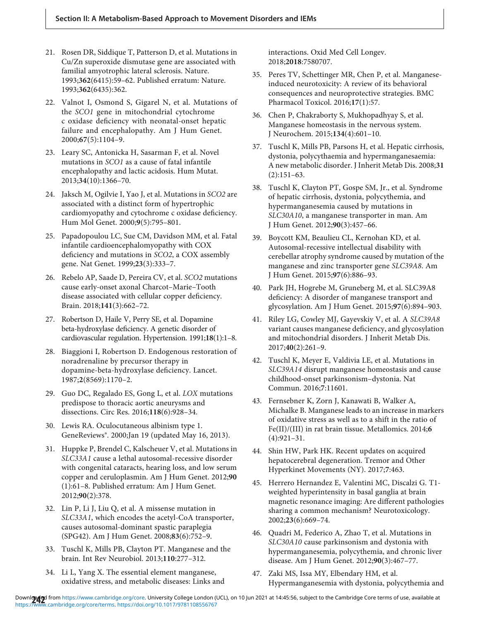- 21. Rosen DR, Siddique T, Patterson D, et al. Mutations in Cu/Zn superoxide dismutase gene are associated with familial amyotrophic lateral sclerosis. Nature. 1993;362(6415):59–62. Published erratum: Nature. 1993;362(6435):362.
- 22. Valnot I, Osmond S, Gigarel N, et al. Mutations of the SCO1 gene in mitochondrial cytochrome c oxidase deficiency with neonatal-onset hepatic failure and encephalopathy. Am J Hum Genet. 2000;67(5):1104–9.
- 23. Leary SC, Antonicka H, Sasarman F, et al. Novel mutations in SCO1 as a cause of fatal infantile encephalopathy and lactic acidosis. Hum Mutat. 2013;34(10):1366–70.
- 24. Jaksch M, Ogilvie I, Yao J, et al. Mutations in SCO2 are associated with a distinct form of hypertrophic cardiomyopathy and cytochrome c oxidase deficiency. Hum Mol Genet. 2000;9(5):795–801.
- 25. Papadopoulou LC, Sue CM, Davidson MM, et al. Fatal infantile cardioencephalomyopathy with COX deficiency and mutations in SCO2, a COX assembly gene. Nat Genet. 1999;23(3):333–7.
- 26. Rebelo AP, Saade D, Pereira CV, et al. SCO2 mutations cause early-onset axonal Charcot–Marie–Tooth disease associated with cellular copper deficiency. Brain. 2018;141(3):662–72.
- 27. Robertson D, Haile V, Perry SE, et al. Dopamine beta-hydroxylase deficiency. A genetic disorder of cardiovascular regulation. Hypertension. 1991;18(1):1–8.
- 28. Biaggioni I, Robertson D. Endogenous restoration of noradrenaline by precursor therapy in dopamine-beta-hydroxylase deficiency. Lancet. 1987;2(8569):1170–2.
- 29. Guo DC, Regalado ES, Gong L, et al. LOX mutations predispose to thoracic aortic aneurysms and dissections. Circ Res. 2016;118(6):928–34.
- 30. Lewis RA. Oculocutaneous albinism type 1. GeneReviews®. 2000;Jan 19 (updated May 16, 2013).
- 31. Huppke P, Brendel C, Kalscheuer V, et al. Mutations in SLC33A1 cause a lethal autosomal-recessive disorder with congenital cataracts, hearing loss, and low serum copper and ceruloplasmin. Am J Hum Genet. 2012;90 (1):61–8. Published erratum: Am J Hum Genet. 2012;90(2):378.
- 32. Lin P, Li J, Liu Q, et al. A missense mutation in SLC33A1, which encodes the acetyl-CoA transporter, causes autosomal-dominant spastic paraplegia (SPG42). Am J Hum Genet. 2008;83(6):752–9.
- 33. Tuschl K, Mills PB, Clayton PT. Manganese and the brain. Int Rev Neurobiol. 2013;110:277–312.
- 34. Li L, Yang X. The essential element manganese, oxidative stress, and metabolic diseases: Links and

interactions. Oxid Med Cell Longev. 2018;2018:7580707.

- 35. Peres TV, Schettinger MR, Chen P, et al. Manganeseinduced neurotoxicity: A review of its behavioral consequences and neuroprotective strategies. BMC Pharmacol Toxicol. 2016;17(1):57.
- 36. Chen P, Chakraborty S, Mukhopadhyay S, et al. Manganese homeostasis in the nervous system. J Neurochem. 2015;134(4):601–10.
- 37. Tuschl K, Mills PB, Parsons H, et al. Hepatic cirrhosis, dystonia, polycythaemia and hypermanganesaemia: A new metabolic disorder. J Inherit Metab Dis. 2008;31 (2):151–63.
- 38. Tuschl K, Clayton PT, Gospe SM, Jr., et al. Syndrome of hepatic cirrhosis, dystonia, polycythemia, and hypermanganesemia caused by mutations in SLC30A10, a manganese transporter in man. Am J Hum Genet. 2012;90(3):457–66.
- 39. Boycott KM, Beaulieu CL, Kernohan KD, et al. Autosomal-recessive intellectual disability with cerebellar atrophy syndrome caused by mutation of the manganese and zinc transporter gene SLC39A8. Am J Hum Genet. 2015;97(6):886–93.
- 40. Park JH, Hogrebe M, Gruneberg M, et al. SLC39A8 deficiency: A disorder of manganese transport and glycosylation. Am J Hum Genet. 2015;97(6):894–903.
- 41. Riley LG, Cowley MJ, Gayevskiy V, et al. A SLC39A8 variant causes manganese deficiency, and glycosylation and mitochondrial disorders. J Inherit Metab Dis. 2017;40(2):261–9.
- 42. Tuschl K, Meyer E, Valdivia LE, et al. Mutations in SLC39A14 disrupt manganese homeostasis and cause childhood-onset parkinsonism–dystonia. Nat Commun. 2016;7:11601.
- 43. Fernsebner K, Zorn J, Kanawati B, Walker A, Michalke B. Manganese leads to an increase in markers of oxidative stress as well as to a shift in the ratio of Fe(II)/(III) in rat brain tissue. Metallomics. 2014;6 (4):921–31.
- 44. Shin HW, Park HK. Recent updates on acquired hepatocerebral degeneration. Tremor and Other Hyperkinet Movements (NY). 2017;7:463.
- 45. Herrero Hernandez E, Valentini MC, Discalzi G. T1 weighted hyperintensity in basal ganglia at brain magnetic resonance imaging: Are different pathologies sharing a common mechanism? Neurotoxicology. 2002;23(6):669–74.
- 46. Quadri M, Federico A, Zhao T, et al. Mutations in SLC30A10 cause parkinsonism and dystonia with hypermanganesemia, polycythemia, and chronic liver disease. Am J Hum Genet. 2012;90(3):467–77.
- 47. Zaki MS, Issa MY, Elbendary HM, et al. Hypermanganesemia with dystonia, polycythemia and